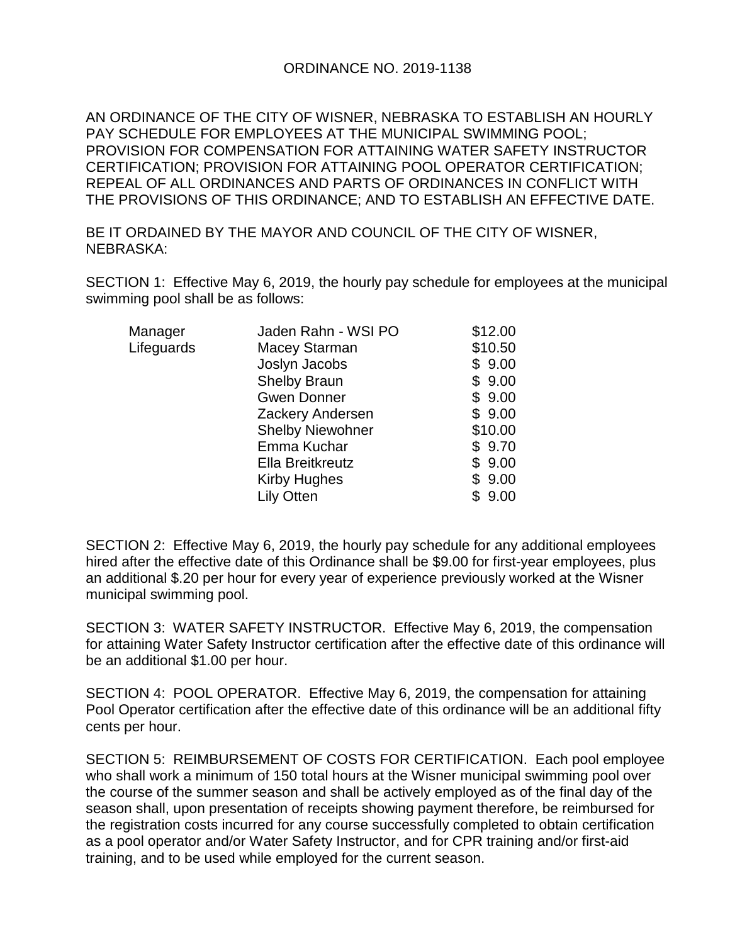## ORDINANCE NO. 2019-1138

AN ORDINANCE OF THE CITY OF WISNER, NEBRASKA TO ESTABLISH AN HOURLY PAY SCHEDULE FOR EMPLOYEES AT THE MUNICIPAL SWIMMING POOL; PROVISION FOR COMPENSATION FOR ATTAINING WATER SAFETY INSTRUCTOR CERTIFICATION; PROVISION FOR ATTAINING POOL OPERATOR CERTIFICATION; REPEAL OF ALL ORDINANCES AND PARTS OF ORDINANCES IN CONFLICT WITH THE PROVISIONS OF THIS ORDINANCE; AND TO ESTABLISH AN EFFECTIVE DATE.

BE IT ORDAINED BY THE MAYOR AND COUNCIL OF THE CITY OF WISNER, NEBRASKA:

SECTION 1: Effective May 6, 2019, the hourly pay schedule for employees at the municipal swimming pool shall be as follows:

| Manager    | Jaden Rahn - WSI PO     | \$12.00    |
|------------|-------------------------|------------|
| Lifeguards | Macey Starman           | \$10.50    |
|            | Joslyn Jacobs           | \$9.00     |
|            | <b>Shelby Braun</b>     | \$9.00     |
|            | <b>Gwen Donner</b>      | \$9.00     |
|            | Zackery Andersen        | \$9.00     |
|            | <b>Shelby Niewohner</b> | \$10.00    |
|            | Emma Kuchar             | \$9.70     |
|            | Ella Breitkreutz        | \$9.00     |
|            | <b>Kirby Hughes</b>     | \$9.00     |
|            | <b>Lily Otten</b>       | 9.00<br>\$ |

SECTION 2: Effective May 6, 2019, the hourly pay schedule for any additional employees hired after the effective date of this Ordinance shall be \$9.00 for first-year employees, plus an additional \$.20 per hour for every year of experience previously worked at the Wisner municipal swimming pool.

SECTION 3: WATER SAFETY INSTRUCTOR. Effective May 6, 2019, the compensation for attaining Water Safety Instructor certification after the effective date of this ordinance will be an additional \$1.00 per hour.

SECTION 4: POOL OPERATOR. Effective May 6, 2019, the compensation for attaining Pool Operator certification after the effective date of this ordinance will be an additional fifty cents per hour.

SECTION 5: REIMBURSEMENT OF COSTS FOR CERTIFICATION. Each pool employee who shall work a minimum of 150 total hours at the Wisner municipal swimming pool over the course of the summer season and shall be actively employed as of the final day of the season shall, upon presentation of receipts showing payment therefore, be reimbursed for the registration costs incurred for any course successfully completed to obtain certification as a pool operator and/or Water Safety Instructor, and for CPR training and/or first-aid training, and to be used while employed for the current season.